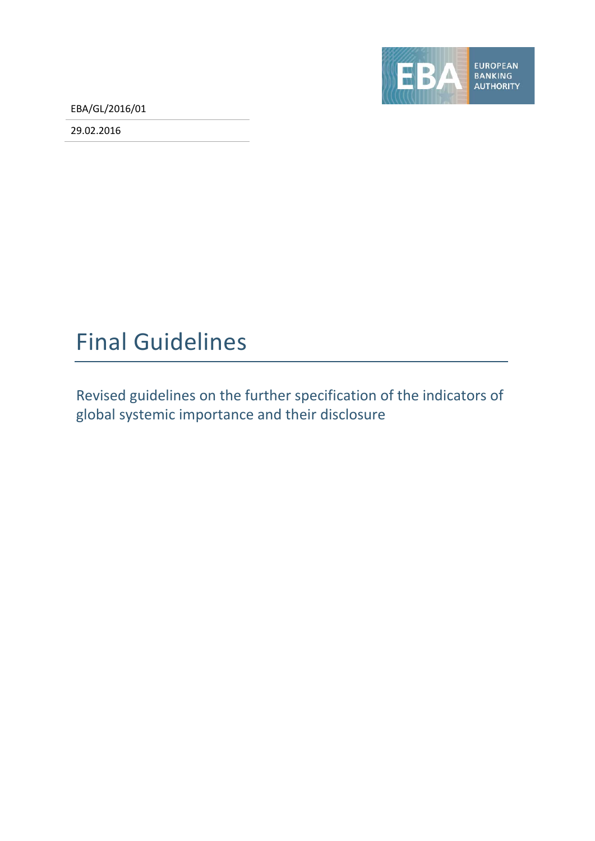EBA/GL/2016/01

29.02.2016



# Final Guidelines

Revised guidelines on the further specification of the indicators of global systemic importance and their disclosure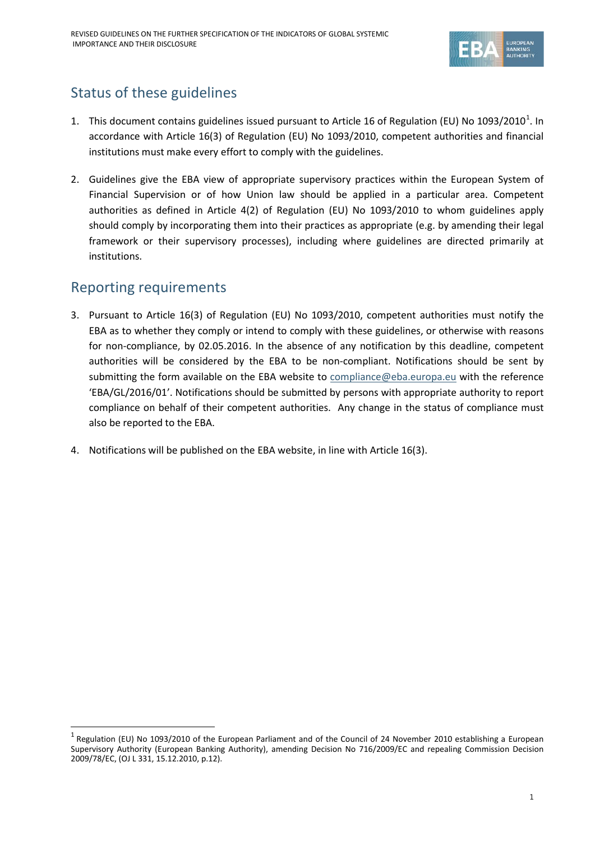

# Status of these guidelines

- [1](#page-1-0). This document contains guidelines issued pursuant to Article 16 of Regulation (EU) No 1093/2010<sup>1</sup>. In accordance with Article 16(3) of Regulation (EU) No 1093/2010, competent authorities and financial institutions must make every effort to comply with the guidelines.
- 2. Guidelines give the EBA view of appropriate supervisory practices within the European System of Financial Supervision or of how Union law should be applied in a particular area. Competent authorities as defined in Article 4(2) of Regulation (EU) No 1093/2010 to whom guidelines apply should comply by incorporating them into their practices as appropriate (e.g. by amending their legal framework or their supervisory processes), including where guidelines are directed primarily at institutions.

### Reporting requirements

 $\overline{a}$ 

- 3. Pursuant to Article 16(3) of Regulation (EU) No 1093/2010, competent authorities must notify the EBA as to whether they comply or intend to comply with these guidelines, or otherwise with reasons for non-compliance, by 02.05.2016. In the absence of any notification by this deadline, competent authorities will be considered by the EBA to be non-compliant. Notifications should be sent by submitting the form available on the EBA website to [compliance@eba.europa.eu](mailto:compliance@eba.europa.eu) with the reference 'EBA/GL/2016/01'. Notifications should be submitted by persons with appropriate authority to report compliance on behalf of their competent authorities. Any change in the status of compliance must also be reported to the EBA.
- 4. Notifications will be published on the EBA website, in line with Article 16(3).

<span id="page-1-0"></span> $<sup>1</sup>$  Regulation (EU) No 1093/2010 of the European Parliament and of the Council of 24 November 2010 establishing a European</sup> Supervisory Authority (European Banking Authority), amending Decision No 716/2009/EC and repealing Commission Decision 2009/78/EC, (OJ L 331, 15.12.2010, p.12).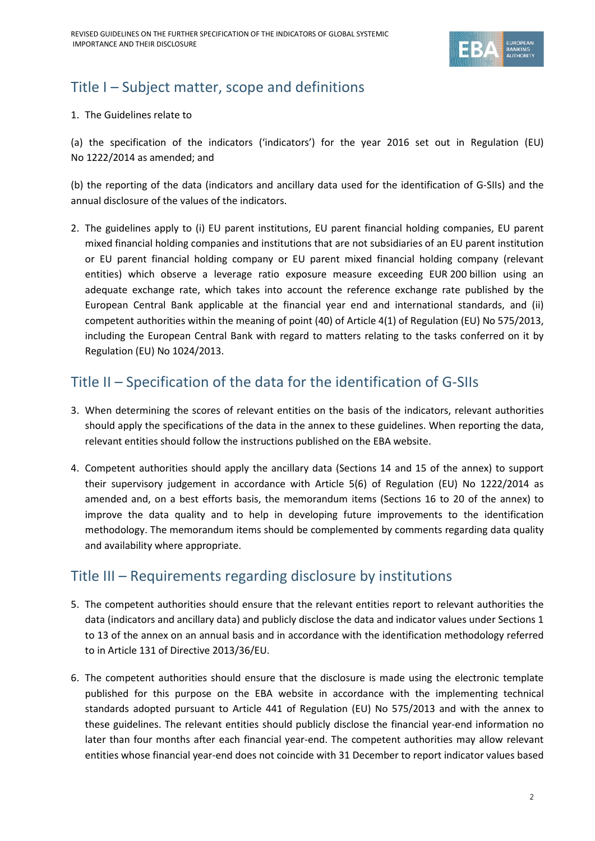

# Title I – Subject matter, scope and definitions

### 1. The Guidelines relate to

(a) the specification of the indicators ('indicators') for the year 2016 set out in Regulation (EU) No 1222/2014 as amended; and

(b) the reporting of the data (indicators and ancillary data used for the identification of G-SIIs) and the annual disclosure of the values of the indicators.

2. The guidelines apply to (i) EU parent institutions, EU parent financial holding companies, EU parent mixed financial holding companies and institutions that are not subsidiaries of an EU parent institution or EU parent financial holding company or EU parent mixed financial holding company (relevant entities) which observe a leverage ratio exposure measure exceeding EUR 200 billion using an adequate exchange rate, which takes into account the reference exchange rate published by the European Central Bank applicable at the financial year end and international standards, and (ii) competent authorities within the meaning of point (40) of Article 4(1) of Regulation (EU) No 575/2013, including the European Central Bank with regard to matters relating to the tasks conferred on it by Regulation (EU) No 1024/2013.

# Title II – Specification of the data for the identification of G-SIIs

- 3. When determining the scores of relevant entities on the basis of the indicators, relevant authorities should apply the specifications of the data in the annex to these guidelines. When reporting the data, relevant entities should follow the instructions published on the EBA website.
- 4. Competent authorities should apply the ancillary data (Sections 14 and 15 of the annex) to support their supervisory judgement in accordance with Article 5(6) of Regulation (EU) No 1222/2014 as amended and, on a best efforts basis, the memorandum items (Sections 16 to 20 of the annex) to improve the data quality and to help in developing future improvements to the identification methodology. The memorandum items should be complemented by comments regarding data quality and availability where appropriate.

### Title III – Requirements regarding disclosure by institutions

- 5. The competent authorities should ensure that the relevant entities report to relevant authorities the data (indicators and ancillary data) and publicly disclose the data and indicator values under Sections 1 to 13 of the annex on an annual basis and in accordance with the identification methodology referred to in Article 131 of Directive 2013/36/EU.
- 6. The competent authorities should ensure that the disclosure is made using the electronic template published for this purpose on the EBA website in accordance with the implementing technical standards adopted pursuant to Article 441 of Regulation (EU) No 575/2013 and with the annex to these guidelines. The relevant entities should publicly disclose the financial year-end information no later than four months after each financial year-end. The competent authorities may allow relevant entities whose financial year-end does not coincide with 31 December to report indicator values based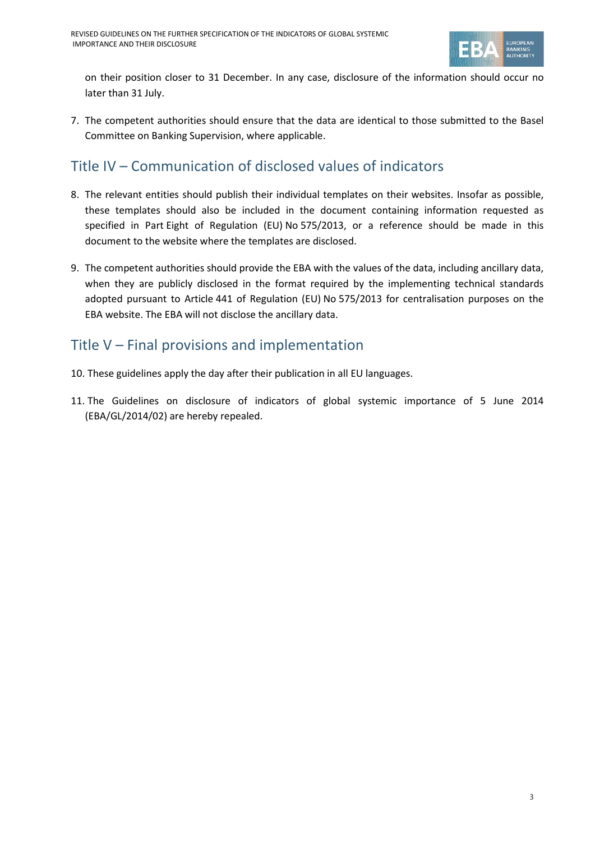

on their position closer to 31 December. In any case, disclosure of the information should occur no later than 31 July.

7. The competent authorities should ensure that the data are identical to those submitted to the Basel Committee on Banking Supervision, where applicable.

# Title IV – Communication of disclosed values of indicators

- 8. The relevant entities should publish their individual templates on their websites. Insofar as possible, these templates should also be included in the document containing information requested as specified in Part Eight of Regulation (EU) No 575/2013, or a reference should be made in this document to the website where the templates are disclosed.
- 9. The competent authorities should provide the EBA with the values of the data, including ancillary data, when they are publicly disclosed in the format required by the implementing technical standards adopted pursuant to Article 441 of Regulation (EU) No 575/2013 for centralisation purposes on the EBA website. The EBA will not disclose the ancillary data.

# Title V – Final provisions and implementation

- 10. These guidelines apply the day after their publication in all EU languages.
- 11. The Guidelines on disclosure of indicators of global systemic importance of 5 June 2014 (EBA/GL/2014/02) are hereby repealed.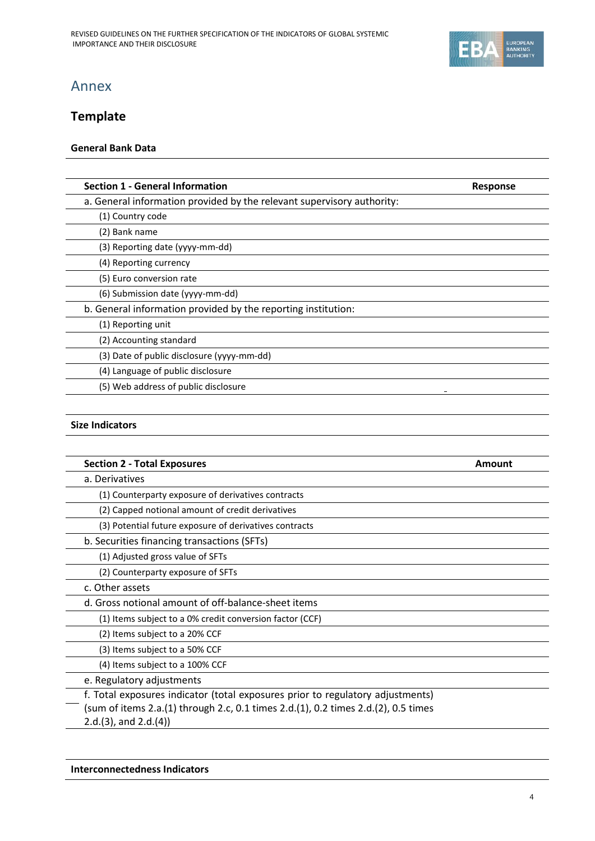

# Annex

### **Template**

### **General Bank Data**

| <b>Section 1 - General Information</b>                                 | <b>Response</b> |
|------------------------------------------------------------------------|-----------------|
| a. General information provided by the relevant supervisory authority: |                 |
| (1) Country code                                                       |                 |
| (2) Bank name                                                          |                 |
| (3) Reporting date (yyyy-mm-dd)                                        |                 |
| (4) Reporting currency                                                 |                 |
| (5) Euro conversion rate                                               |                 |
| (6) Submission date (yyyy-mm-dd)                                       |                 |
| b. General information provided by the reporting institution:          |                 |
| (1) Reporting unit                                                     |                 |
| (2) Accounting standard                                                |                 |
| (3) Date of public disclosure (yyyy-mm-dd)                             |                 |
| (4) Language of public disclosure                                      |                 |
| (5) Web address of public disclosure                                   |                 |

### **Size Indicators**

| <b>Section 2 - Total Exposures</b>                                                 | Amount |
|------------------------------------------------------------------------------------|--------|
| a. Derivatives                                                                     |        |
| (1) Counterparty exposure of derivatives contracts                                 |        |
| (2) Capped notional amount of credit derivatives                                   |        |
| (3) Potential future exposure of derivatives contracts                             |        |
| b. Securities financing transactions (SFTs)                                        |        |
| (1) Adjusted gross value of SFTs                                                   |        |
| (2) Counterparty exposure of SFTs                                                  |        |
| c. Other assets                                                                    |        |
| d. Gross notional amount of off-balance-sheet items                                |        |
| (1) Items subject to a 0% credit conversion factor (CCF)                           |        |
| (2) Items subject to a 20% CCF                                                     |        |
| (3) Items subject to a 50% CCF                                                     |        |
| (4) Items subject to a 100% CCF                                                    |        |
| e. Regulatory adjustments                                                          |        |
| f. Total exposures indicator (total exposures prior to regulatory adjustments)     |        |
| (sum of items 2.a.(1) through 2.c, 0.1 times 2.d.(1), 0.2 times 2.d.(2), 0.5 times |        |
| $2.d.(3)$ , and $2.d.(4)$                                                          |        |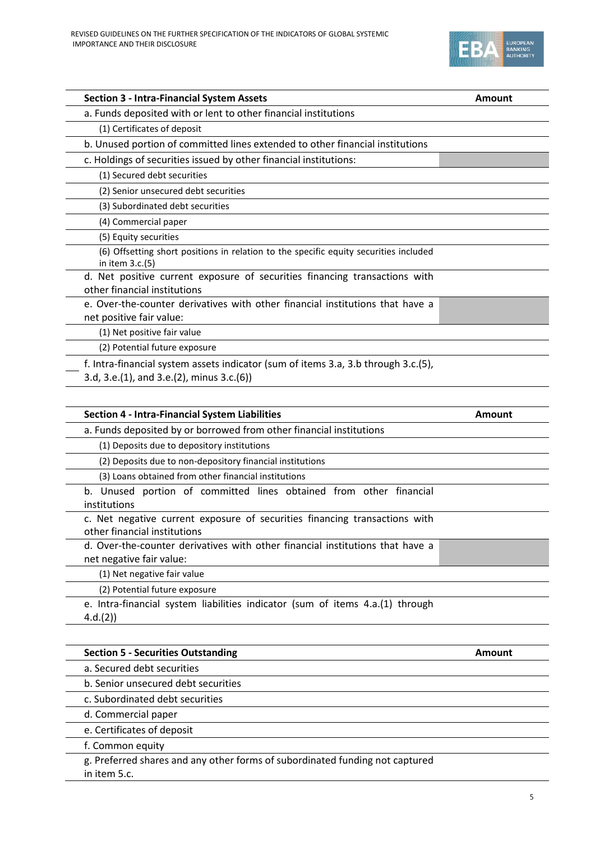

| <b>Section 3 - Intra-Financial System Assets</b>                                                                                                                                                                                                       | <b>Amount</b> |
|--------------------------------------------------------------------------------------------------------------------------------------------------------------------------------------------------------------------------------------------------------|---------------|
| a. Funds deposited with or lent to other financial institutions                                                                                                                                                                                        |               |
| (1) Certificates of deposit                                                                                                                                                                                                                            |               |
| b. Unused portion of committed lines extended to other financial institutions                                                                                                                                                                          |               |
| c. Holdings of securities issued by other financial institutions:                                                                                                                                                                                      |               |
| (1) Secured debt securities                                                                                                                                                                                                                            |               |
| (2) Senior unsecured debt securities                                                                                                                                                                                                                   |               |
| (3) Subordinated debt securities                                                                                                                                                                                                                       |               |
| (4) Commercial paper                                                                                                                                                                                                                                   |               |
| (5) Equity securities                                                                                                                                                                                                                                  |               |
| (6) Offsetting short positions in relation to the specific equity securities included<br>in item 3.c.(5)                                                                                                                                               |               |
| d. Net positive current exposure of securities financing transactions with<br>other financial institutions                                                                                                                                             |               |
| e. Over-the-counter derivatives with other financial institutions that have a<br>net positive fair value:                                                                                                                                              |               |
| (1) Net positive fair value                                                                                                                                                                                                                            |               |
| (2) Potential future exposure                                                                                                                                                                                                                          |               |
| f. Intra-financial system assets indicator (sum of items 3.a, 3.b through 3.c.(5),<br>3.d, 3.e.(1), and 3.e.(2), minus 3.c.(6))                                                                                                                        |               |
|                                                                                                                                                                                                                                                        |               |
|                                                                                                                                                                                                                                                        | Amount        |
|                                                                                                                                                                                                                                                        |               |
| (1) Deposits due to depository institutions                                                                                                                                                                                                            |               |
| (2) Deposits due to non-depository financial institutions                                                                                                                                                                                              |               |
| Section 4 - Intra-Financial System Liabilities<br>a. Funds deposited by or borrowed from other financial institutions<br>(3) Loans obtained from other financial institutions                                                                          |               |
| b. Unused portion of committed lines obtained from other financial<br>institutions                                                                                                                                                                     |               |
|                                                                                                                                                                                                                                                        |               |
|                                                                                                                                                                                                                                                        |               |
| c. Net negative current exposure of securities financing transactions with<br>other financial institutions<br>d. Over-the-counter derivatives with other financial institutions that have a<br>net negative fair value:<br>(1) Net negative fair value |               |
| (2) Potential future exposure                                                                                                                                                                                                                          |               |

**Section 5 - Securities Outstanding Amount Amount** 

g. Preferred shares and any other forms of subordinated funding not captured

a. Secured debt securities

d. Commercial paper e. Certificates of deposit

f. Common equity

in item 5.c.

b. Senior unsecured debt securities c. Subordinated debt securities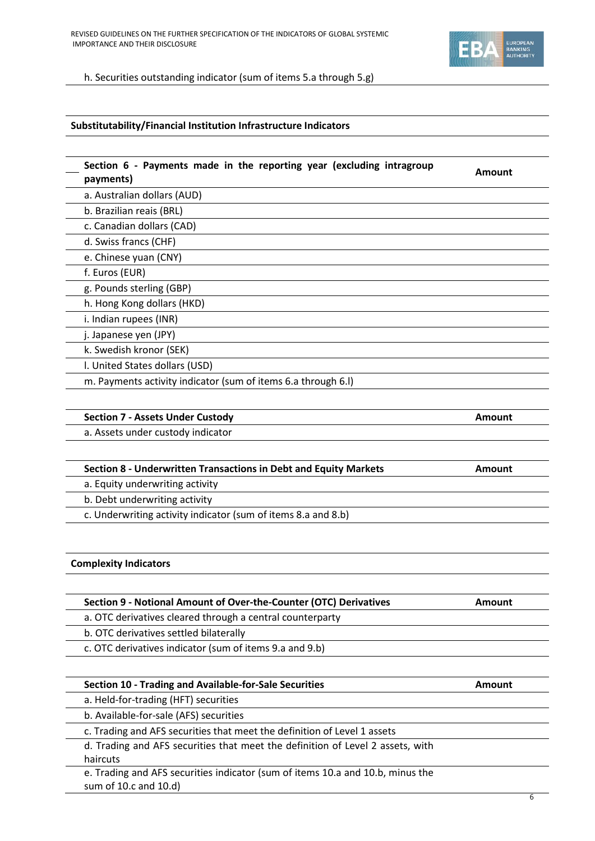

h. Securities outstanding indicator (sum of items 5.a through 5.g)

#### **Substitutability/Financial Institution Infrastructure Indicators**

| Section 6 - Payments made in the reporting year (excluding intragroup<br>payments) | Amount |
|------------------------------------------------------------------------------------|--------|
| a. Australian dollars (AUD)                                                        |        |
| b. Brazilian reais (BRL)                                                           |        |
| c. Canadian dollars (CAD)                                                          |        |
| d. Swiss francs (CHF)                                                              |        |
| e. Chinese yuan (CNY)                                                              |        |
| f. Euros (EUR)                                                                     |        |
| g. Pounds sterling (GBP)                                                           |        |
| h. Hong Kong dollars (HKD)                                                         |        |
| i. Indian rupees (INR)                                                             |        |
| j. Japanese yen (JPY)                                                              |        |
| k. Swedish kronor (SEK)                                                            |        |
| I. United States dollars (USD)                                                     |        |
| m. Payments activity indicator (sum of items 6.a through 6.I)                      |        |
|                                                                                    |        |

| <b>Section 7 - Assets Under Custody</b> | Amount |
|-----------------------------------------|--------|
| a. Assets under custody indicator       |        |
|                                         |        |
|                                         |        |

| Section 8 - Underwritten Transactions in Debt and Equity Markets | Amount |
|------------------------------------------------------------------|--------|
| a. Equity underwriting activity                                  |        |
| b. Debt underwriting activity                                    |        |
| c. Underwriting activity indicator (sum of items 8.a and 8.b)    |        |
|                                                                  |        |

#### **Complexity Indicators**

| Section 9 - Notional Amount of Over-the-Counter (OTC) Derivatives | Amount |
|-------------------------------------------------------------------|--------|
| a. OTC derivatives cleared through a central counterparty         |        |
| b. OTC derivatives settled bilaterally                            |        |
| c. OTC derivatives indicator (sum of items 9.a and 9.b)           |        |
|                                                                   |        |
| Section 10 - Trading and Available-for-Sale Securities            | Amount |
| a. Held-for-trading (HFT) securities                              |        |

b. Available-for-sale (AFS) securities

c. Trading and AFS securities that meet the definition of Level 1 assets

d. Trading and AFS securities that meet the definition of Level 2 assets, with haircuts

e. Trading and AFS securities indicator (sum of items 10.a and 10.b, minus the sum of 10.c and 10.d)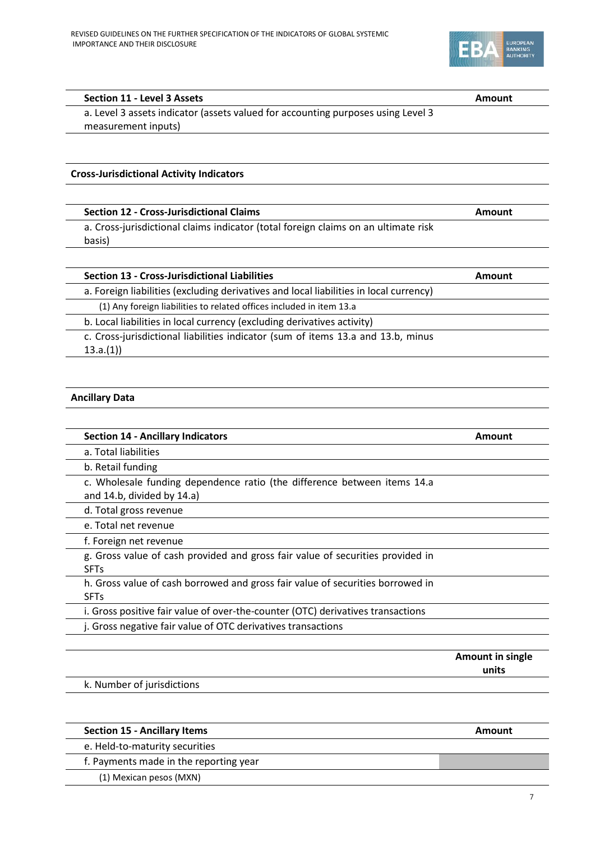

#### **Section 11 - Level 3 Assets Amount**

a. Level 3 assets indicator (assets valued for accounting purposes using Level 3 measurement inputs)

#### **Cross-Jurisdictional Activity Indicators**

| <b>Section 12 - Cross-Jurisdictional Claims</b>                                    | Amount |
|------------------------------------------------------------------------------------|--------|
| a. Cross-jurisdictional claims indicator (total foreign claims on an ultimate risk |        |

basis)

| <b>Section 13 - Cross-Jurisdictional Liabilities</b>                                   | Amount |
|----------------------------------------------------------------------------------------|--------|
| a. Foreign liabilities (excluding derivatives and local liabilities in local currency) |        |
| (1) Any foreign liabilities to related offices included in item 13.a                   |        |
| b. Local liabilities in local currency (excluding derivatives activity)                |        |

c. Cross-jurisdictional liabilities indicator (sum of items 13.a and 13.b, minus 13.a.(1))

#### **Ancillary Data**

| <b>Section 14 - Ancillary Indicators</b>                                                                 | Amount |
|----------------------------------------------------------------------------------------------------------|--------|
| a. Total liabilities                                                                                     |        |
| b. Retail funding                                                                                        |        |
| c. Wholesale funding dependence ratio (the difference between items 14.a<br>and 14.b, divided by 14.a)   |        |
| d. Total gross revenue                                                                                   |        |
| e. Total net revenue                                                                                     |        |
| f. Foreign net revenue                                                                                   |        |
| g. Gross value of cash provided and gross fair value of securities provided in<br><b>SFT<sub>S</sub></b> |        |
| h. Gross value of cash borrowed and gross fair value of securities borrowed in                           |        |
| <b>SFT<sub>S</sub></b>                                                                                   |        |
| i. Gross positive fair value of over-the-counter (OTC) derivatives transactions                          |        |
| j. Gross negative fair value of OTC derivatives transactions                                             |        |

**Amount in single units**

k. Number of jurisdictions

#### **Section 15 - Ancillary Items Amount**

e. Held-to-maturity securities

f. Payments made in the reporting year

(1) Mexican pesos (MXN)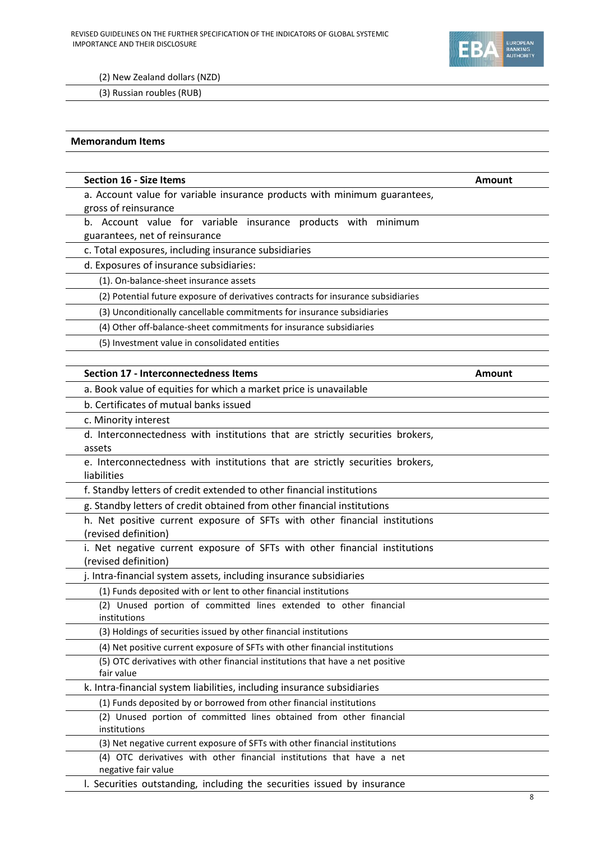

(2) New Zealand dollars (NZD)

(3) Russian roubles (RUB)

#### **Memorandum Items**

| <b>Section 16 - Size Items</b>                                                                     | Amount |
|----------------------------------------------------------------------------------------------------|--------|
| a. Account value for variable insurance products with minimum guarantees,                          |        |
| gross of reinsurance                                                                               |        |
| b. Account value for variable insurance products with minimum                                      |        |
| guarantees, net of reinsurance                                                                     |        |
| c. Total exposures, including insurance subsidiaries                                               |        |
| d. Exposures of insurance subsidiaries:                                                            |        |
| (1). On-balance-sheet insurance assets                                                             |        |
| (2) Potential future exposure of derivatives contracts for insurance subsidiaries                  |        |
| (3) Unconditionally cancellable commitments for insurance subsidiaries                             |        |
| (4) Other off-balance-sheet commitments for insurance subsidiaries                                 |        |
| (5) Investment value in consolidated entities                                                      |        |
|                                                                                                    |        |
| Section 17 - Interconnectedness Items                                                              | Amount |
| a. Book value of equities for which a market price is unavailable                                  |        |
| b. Certificates of mutual banks issued                                                             |        |
| c. Minority interest                                                                               |        |
| d. Interconnectedness with institutions that are strictly securities brokers,                      |        |
| assets                                                                                             |        |
| e. Interconnectedness with institutions that are strictly securities brokers,                      |        |
| liabilities                                                                                        |        |
| f. Standby letters of credit extended to other financial institutions                              |        |
| g. Standby letters of credit obtained from other financial institutions                            |        |
| h. Net positive current exposure of SFTs with other financial institutions<br>(revised definition) |        |
| i. Net negative current exposure of SFTs with other financial institutions<br>(revised definition) |        |
| j. Intra-financial system assets, including insurance subsidiaries                                 |        |
| (1) Funds deposited with or lent to other financial institutions                                   |        |
| (2) Unused portion of committed lines extended to other financial                                  |        |
| institutions<br>(3) Holdings of securities issued by other financial institutions                  |        |
| (4) Net positive current exposure of SFTs with other financial institutions                        |        |
| (5) OTC derivatives with other financial institutions that have a net positive                     |        |
| fair value                                                                                         |        |
| k. Intra-financial system liabilities, including insurance subsidiaries                            |        |
| (1) Funds deposited by or borrowed from other financial institutions                               |        |
| (2) Unused portion of committed lines obtained from other financial<br>institutions                |        |
| (3) Net negative current exposure of SFTs with other financial institutions                        |        |
| (4) OTC derivatives with other financial institutions that have a net<br>negative fair value       |        |
| I. Securities outstanding, including the securities issued by insurance                            |        |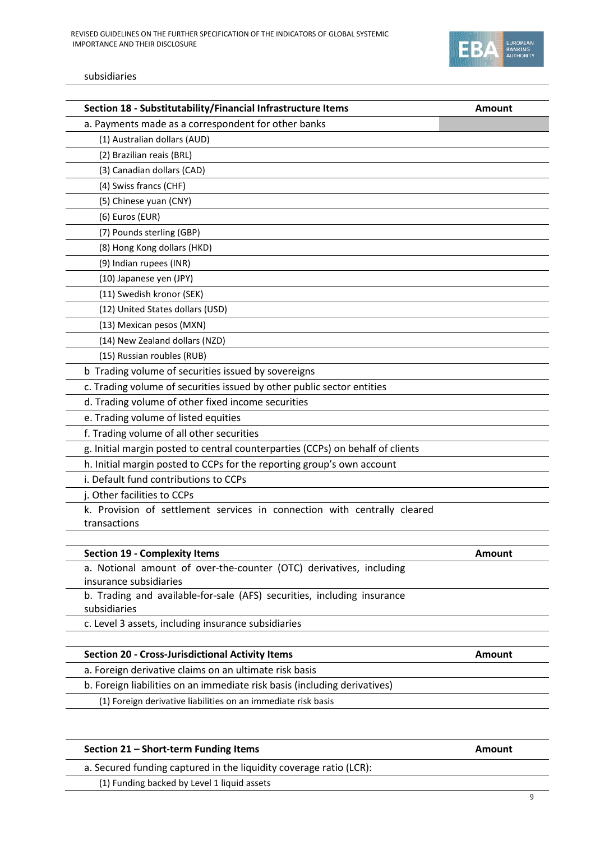

#### subsidiaries

| Section 18 - Substitutability/Financial Infrastructure Items                                      | Amount        |
|---------------------------------------------------------------------------------------------------|---------------|
| a. Payments made as a correspondent for other banks                                               |               |
| (1) Australian dollars (AUD)                                                                      |               |
| (2) Brazilian reais (BRL)                                                                         |               |
| (3) Canadian dollars (CAD)                                                                        |               |
| (4) Swiss francs (CHF)                                                                            |               |
| (5) Chinese yuan (CNY)                                                                            |               |
| (6) Euros (EUR)                                                                                   |               |
| (7) Pounds sterling (GBP)                                                                         |               |
| (8) Hong Kong dollars (HKD)                                                                       |               |
| (9) Indian rupees (INR)                                                                           |               |
| (10) Japanese yen (JPY)                                                                           |               |
| (11) Swedish kronor (SEK)                                                                         |               |
| (12) United States dollars (USD)                                                                  |               |
| (13) Mexican pesos (MXN)                                                                          |               |
| (14) New Zealand dollars (NZD)                                                                    |               |
| (15) Russian roubles (RUB)                                                                        |               |
| b Trading volume of securities issued by sovereigns                                               |               |
| c. Trading volume of securities issued by other public sector entities                            |               |
| d. Trading volume of other fixed income securities                                                |               |
| e. Trading volume of listed equities                                                              |               |
| f. Trading volume of all other securities                                                         |               |
| g. Initial margin posted to central counterparties (CCPs) on behalf of clients                    |               |
| h. Initial margin posted to CCPs for the reporting group's own account                            |               |
| i. Default fund contributions to CCPs                                                             |               |
| j. Other facilities to CCPs                                                                       |               |
| k. Provision of settlement services in connection with centrally cleared                          |               |
| transactions                                                                                      |               |
|                                                                                                   |               |
| <b>Section 19 - Complexity Items</b>                                                              | <b>Amount</b> |
| a. Notional amount of over-the-counter (OTC) derivatives, including                               |               |
| insurance subsidiaries<br>b. Trading and available-for-sale (AFS) securities, including insurance |               |
| subsidiaries                                                                                      |               |
| c. Level 3 assets, including insurance subsidiaries                                               |               |
|                                                                                                   |               |
| <b>Section 20 - Cross-Jurisdictional Activity Items</b>                                           | Amount        |
| a. Foreign derivative claims on an ultimate risk basis                                            |               |
| b. Foreign liabilities on an immediate risk basis (including derivatives)                         |               |
| (1) Foreign derivative liabilities on an immediate risk basis                                     |               |

### **Section 21 – Short-term Funding Items Amount**

a. Secured funding captured in the liquidity coverage ratio (LCR):

(1) Funding backed by Level 1 liquid assets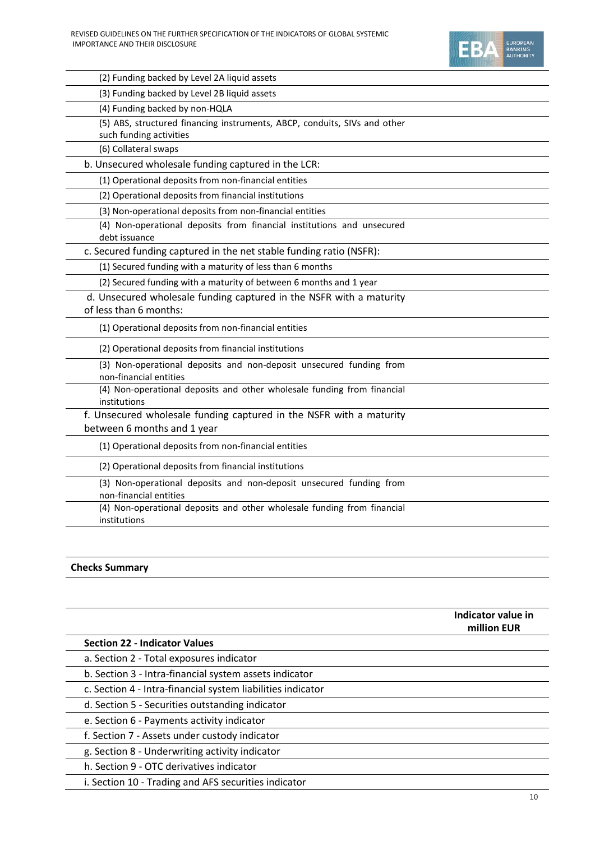(2) Funding backed by Level 2A liquid assets



(3) Funding backed by Level 2B liquid assets (4) Funding backed by non-HQLA (5) ABS, structured financing instruments, ABCP, conduits, SIVs and other such funding activities (6) Collateral swaps b. Unsecured wholesale funding captured in the LCR: (1) Operational deposits from non-financial entities (2) Operational deposits from financial institutions (3) Non-operational deposits from non-financial entities (4) Non-operational deposits from financial institutions and unsecured

debt issuance

c. Secured funding captured in the net stable funding ratio (NSFR):

(1) Secured funding with a maturity of less than 6 months

(2) Secured funding with a maturity of between 6 months and 1 year

d. Unsecured wholesale funding captured in the NSFR with a maturity

### of less than 6 months:

(1) Operational deposits from non-financial entities

(2) Operational deposits from financial institutions

(3) Non-operational deposits and non-deposit unsecured funding from non-financial entities

(4) Non-operational deposits and other wholesale funding from financial institutions

f. Unsecured wholesale funding captured in the NSFR with a maturity

between 6 months and 1 year

(1) Operational deposits from non-financial entities

(2) Operational deposits from financial institutions

(3) Non-operational deposits and non-deposit unsecured funding from non-financial entities

(4) Non-operational deposits and other wholesale funding from financial institutions

### **Checks Summary**

**Indicator value in million EUR Section 22 - Indicator Values** a. Section 2 - Total exposures indicator b. Section 3 - Intra-financial system assets indicator c. Section 4 - Intra-financial system liabilities indicator d. Section 5 - Securities outstanding indicator e. Section 6 - Payments activity indicator f. Section 7 - Assets under custody indicator g. Section 8 - Underwriting activity indicator h. Section 9 - OTC derivatives indicator i. Section 10 - Trading and AFS securities indicator